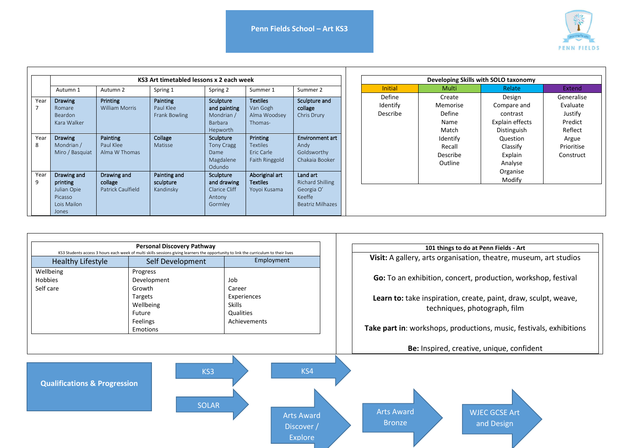

Generalise Evaluate Justify Predict Reflect Argue Prioritise Construct

|           | KS3 Art timetabled lessons x 2 each week                                  |                                                    |                                        |                                                                |                                                             |                                                                                 |  | Developing Skills with SOLO taxonomy |                                                      |                                                                     |                                                                                        |  |
|-----------|---------------------------------------------------------------------------|----------------------------------------------------|----------------------------------------|----------------------------------------------------------------|-------------------------------------------------------------|---------------------------------------------------------------------------------|--|--------------------------------------|------------------------------------------------------|---------------------------------------------------------------------|----------------------------------------------------------------------------------------|--|
|           | Autumn 1                                                                  | Autumn 2                                           | Spring 1                               | Spring 2                                                       | Summer 1                                                    | Summer 2                                                                        |  | <b>Initial</b>                       | <b>Multi</b>                                         | Relate                                                              | Extend                                                                                 |  |
| Year      | <b>Drawing</b><br>Romare<br>Beardon<br>Kara Walker                        | Printing<br><b>William Morris</b>                  | Painting<br>Paul Klee<br>Frank Bowling | Sculpture<br>and painting<br>Mondrian /<br>Barbara<br>Hepworth | <b>Textiles</b><br>Van Gogh<br>Alma Woodsey<br>Thomas-      | Sculpture and<br>collage<br>Chris Drury                                         |  | Define<br>Identify<br>Describe       | Create<br>Memorise<br><b>Define</b><br>Name<br>Match | Design<br>Compare and<br>contrast<br>Explain effects<br>Distinguish | Generali<br>Evaluat<br>Justify<br>Predict<br>Reflect<br>Argue<br>Prioritis<br>Construe |  |
| Year<br>8 | <b>Drawing</b><br>Mondrian /<br>Miro / Basquiat                           | Painting<br>Paul Klee<br>Alma W Thomas             | Collage<br>Matisse                     | Sculpture<br>Tony Cragg<br>Dame<br>Magdalene<br>Odundo         | Printing<br><b>Textiles</b><br>Eric Carle<br>Faith Ringgold | Environment art<br>Andy<br>Goldsworthy<br>Chakaia Booker                        |  |                                      | Identify<br>Recall<br>Describe<br>Outline            | Question<br>Classify<br>Explain<br>Analyse                          |                                                                                        |  |
| Year<br>9 | Drawing and<br>printing<br>Julian Opie<br>Picasso<br>Lois Mailon<br>Jones | Drawing and<br>collage<br><b>Patrick Caulfield</b> | Painting and<br>sculpture<br>Kandinsky | Sculpture<br>and drawing<br>Clarice Cliff<br>Antony<br>Gormley | Aboriginal art<br><b>Textiles</b><br>Yoyoi Kusama           | Land art<br><b>Richard Shilling</b><br>Georgia O'<br>Keeffe<br>Beatriz Milhazes |  |                                      |                                                      | Organise<br>Modify                                                  |                                                                                        |  |

|                                         | <b>Personal Discovery Pathway</b>                                                                                                                        |                       | 101 things to do at Penn Fields - Art                                                           |  |  |  |
|-----------------------------------------|----------------------------------------------------------------------------------------------------------------------------------------------------------|-----------------------|-------------------------------------------------------------------------------------------------|--|--|--|
| <b>Healthy Lifestyle</b>                | KS3 Students access 3 hours each week of multi skills sessions giving learners the opportunity to link the curriculum to their lives<br>Self Development | Employment            | Visit: A gallery, arts organisation, theatre, museum, art studios                               |  |  |  |
| Wellbeing<br>Hobbies<br>Self care       | Progress<br>Development<br>Growth                                                                                                                        |                       | Go: To an exhibition, concert, production, workshop, festival                                   |  |  |  |
|                                         | Targets<br>Wellbeing<br>Future                                                                                                                           |                       | Learn to: take inspiration, create, paint, draw, sculpt, weave,<br>techniques, photograph, film |  |  |  |
|                                         | Feelings<br>Emotions                                                                                                                                     | Achievements          | Take part in: workshops, productions, music, festivals, exhibitions                             |  |  |  |
|                                         |                                                                                                                                                          |                       | Be: Inspired, creative, unique, confident                                                       |  |  |  |
| <b>Qualifications &amp; Progression</b> | KS3                                                                                                                                                      | KS4                   |                                                                                                 |  |  |  |
|                                         | <b>SOLAR</b>                                                                                                                                             | <b>Arts Award</b>     | <b>Arts Award</b><br><b>WJEC GCSE Art</b>                                                       |  |  |  |
|                                         |                                                                                                                                                          | Discover /<br>Explore | <b>Bronze</b><br>and Design                                                                     |  |  |  |